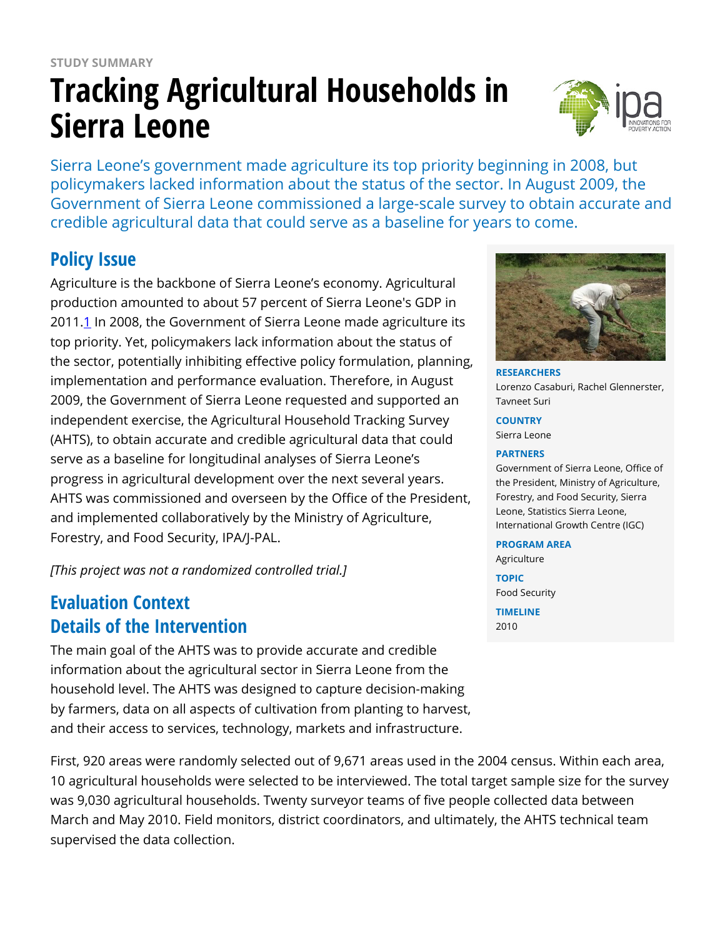# **STUDY SUMMARY Tracking Agricultural Households in Sierra Leone**



Sierra Leone's government made agriculture its top priority beginning in 2008, but policymakers lacked information about the status of the sector. In August 2009, the Government of Sierra Leone commissioned a large-scale survey to obtain accurate and credible agricultural data that could serve as a baseline for years to come.

### **Policy Issue**

Agriculture is the backbone of Sierra Leone's economy. Agricultural production amounted to about 57 percent of Sierra Leone's GDP in 2011.[1](https://www.poverty-action.org/printpdf/7166#_ftn1) In 2008, the Government of Sierra Leone made agriculture its top priority. Yet, policymakers lack information about the status of the sector, potentially inhibiting effective policy formulation, planning, implementation and performance evaluation. Therefore, in August 2009, the Government of Sierra Leone requested and supported an independent exercise, the Agricultural Household Tracking Survey (AHTS), to obtain accurate and credible agricultural data that could serve as a baseline for longitudinal analyses of Sierra Leone's progress in agricultural development over the next several years. AHTS was commissioned and overseen by the Office of the President, and implemented collaboratively by the Ministry of Agriculture, Forestry, and Food Security, IPA/J-PAL.

*[This project was not a randomized controlled trial.]*

## **Evaluation Context Details of the Intervention**

The main goal of the AHTS was to provide accurate and credible information about the agricultural sector in Sierra Leone from the household level. The AHTS was designed to capture decision-making by farmers, data on all aspects of cultivation from planting to harvest, and their access to services, technology, markets and infrastructure.

First, 920 areas were randomly selected out of 9,671 areas used in the 2004 census. Within each area, 10 agricultural households were selected to be interviewed. The total target sample size for the survey was 9,030 agricultural households. Twenty surveyor teams of five people collected data between March and May 2010. Field monitors, district coordinators, and ultimately, the AHTS technical team supervised the data collection.



**RESEARCHERS** Lorenzo Casaburi, Rachel Glennerster, Tavneet Suri

#### **COUNTRY**

Sierra Leone

#### **PARTNERS**

Government of Sierra Leone, Office of the President, Ministry of Agriculture, Forestry, and Food Security, Sierra Leone, Statistics Sierra Leone, International Growth Centre (IGC)

#### **PROGRAM AREA**

Agriculture

**TOPIC** Food Security

**TIMELINE** 2010